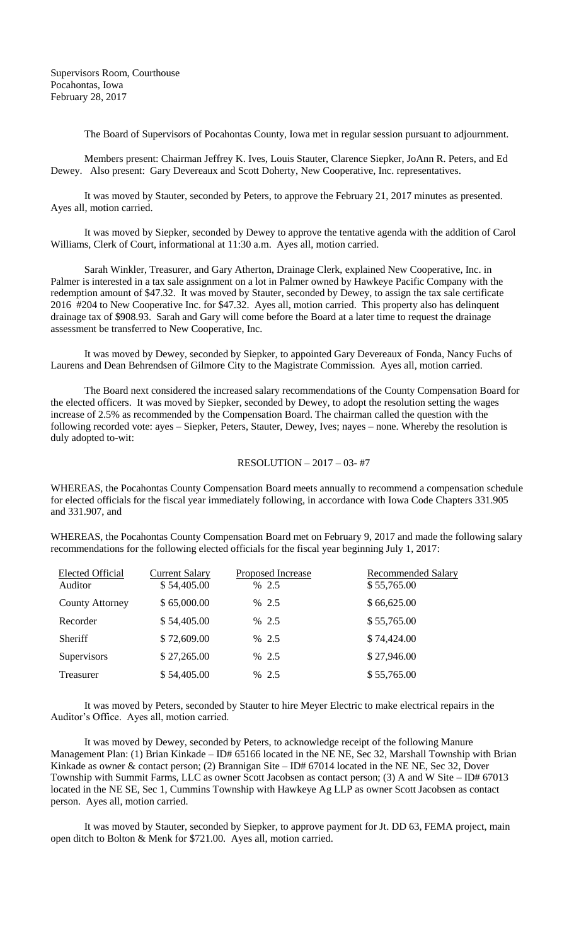The Board of Supervisors of Pocahontas County, Iowa met in regular session pursuant to adjournment.

Members present: Chairman Jeffrey K. Ives, Louis Stauter, Clarence Siepker, JoAnn R. Peters, and Ed Dewey. Also present: Gary Devereaux and Scott Doherty, New Cooperative, Inc. representatives.

It was moved by Stauter, seconded by Peters, to approve the February 21, 2017 minutes as presented. Ayes all, motion carried.

It was moved by Siepker, seconded by Dewey to approve the tentative agenda with the addition of Carol Williams, Clerk of Court, informational at 11:30 a.m. Ayes all, motion carried.

Sarah Winkler, Treasurer, and Gary Atherton, Drainage Clerk, explained New Cooperative, Inc. in Palmer is interested in a tax sale assignment on a lot in Palmer owned by Hawkeye Pacific Company with the redemption amount of \$47.32. It was moved by Stauter, seconded by Dewey, to assign the tax sale certificate 2016 #204 to New Cooperative Inc. for \$47.32. Ayes all, motion carried. This property also has delinquent drainage tax of \$908.93. Sarah and Gary will come before the Board at a later time to request the drainage assessment be transferred to New Cooperative, Inc.

It was moved by Dewey, seconded by Siepker, to appointed Gary Devereaux of Fonda, Nancy Fuchs of Laurens and Dean Behrendsen of Gilmore City to the Magistrate Commission. Ayes all, motion carried.

The Board next considered the increased salary recommendations of the County Compensation Board for the elected officers. It was moved by Siepker, seconded by Dewey, to adopt the resolution setting the wages increase of 2.5% as recommended by the Compensation Board. The chairman called the question with the following recorded vote: ayes – Siepker, Peters, Stauter, Dewey, Ives; nayes – none. Whereby the resolution is duly adopted to-wit:

## RESOLUTION – 2017 – 03- #7

WHEREAS, the Pocahontas County Compensation Board meets annually to recommend a compensation schedule for elected officials for the fiscal year immediately following, in accordance with Iowa Code Chapters 331.905 and 331.907, and

WHEREAS, the Pocahontas County Compensation Board met on February 9, 2017 and made the following salary recommendations for the following elected officials for the fiscal year beginning July 1, 2017:

| <b>Elected Official</b><br>Auditor | <b>Current Salary</b><br>\$54,405.00 | Proposed Increase<br>% 2.5 | <b>Recommended Salary</b><br>\$55,765.00 |
|------------------------------------|--------------------------------------|----------------------------|------------------------------------------|
| <b>County Attorney</b>             | \$65,000.00                          | % 2.5                      | \$66,625.00                              |
| Recorder                           | \$54,405.00                          | % 2.5                      | \$55,765.00                              |
| Sheriff                            | \$72,609.00                          | % 2.5                      | \$74,424.00                              |
| Supervisors                        | \$27,265.00                          | % 2.5                      | \$27,946.00                              |
| Treasurer                          | \$54,405.00                          | % 2.5                      | \$55,765.00                              |
|                                    |                                      |                            |                                          |

It was moved by Peters, seconded by Stauter to hire Meyer Electric to make electrical repairs in the Auditor's Office. Ayes all, motion carried.

It was moved by Dewey, seconded by Peters, to acknowledge receipt of the following Manure Management Plan: (1) Brian Kinkade – ID# 65166 located in the NE NE, Sec 32, Marshall Township with Brian Kinkade as owner & contact person; (2) Brannigan Site – ID# 67014 located in the NE NE, Sec 32, Dover Township with Summit Farms, LLC as owner Scott Jacobsen as contact person; (3) A and W Site – ID# 67013 located in the NE SE, Sec 1, Cummins Township with Hawkeye Ag LLP as owner Scott Jacobsen as contact person. Ayes all, motion carried.

It was moved by Stauter, seconded by Siepker, to approve payment for Jt. DD 63, FEMA project, main open ditch to Bolton & Menk for \$721.00. Ayes all, motion carried.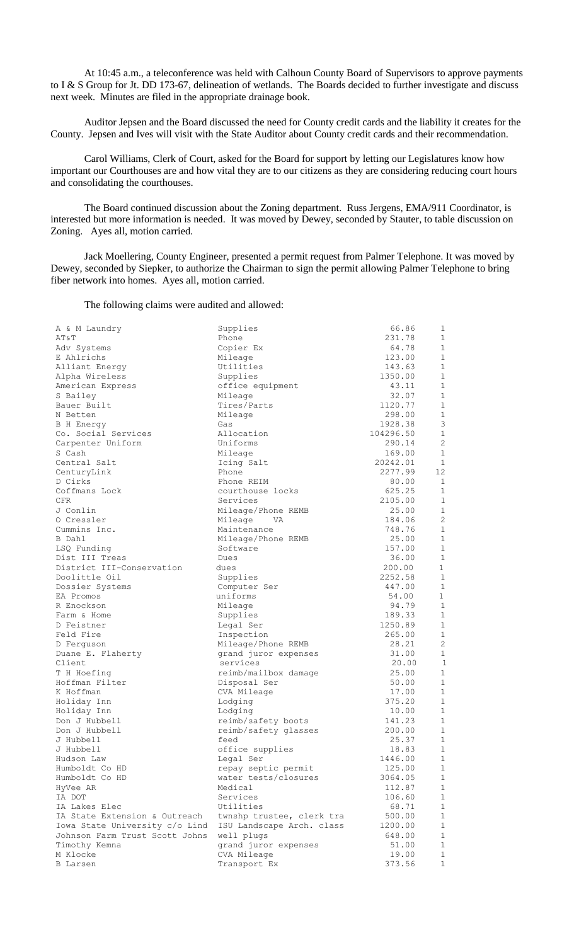At 10:45 a.m., a teleconference was held with Calhoun County Board of Supervisors to approve payments to I & S Group for Jt. DD 173-67, delineation of wetlands. The Boards decided to further investigate and discuss next week. Minutes are filed in the appropriate drainage book.

Auditor Jepsen and the Board discussed the need for County credit cards and the liability it creates for the County. Jepsen and Ives will visit with the State Auditor about County credit cards and their recommendation.

Carol Williams, Clerk of Court, asked for the Board for support by letting our Legislatures know how important our Courthouses are and how vital they are to our citizens as they are considering reducing court hours and consolidating the courthouses.

The Board continued discussion about the Zoning department. Russ Jergens, EMA/911 Coordinator, is interested but more information is needed. It was moved by Dewey, seconded by Stauter, to table discussion on Zoning. Ayes all, motion carried.

Jack Moellering, County Engineer, presented a permit request from Palmer Telephone. It was moved by Dewey, seconded by Siepker, to authorize the Chairman to sign the permit allowing Palmer Telephone to bring fiber network into homes. Ayes all, motion carried.

The following claims were audited and allowed:

| A & M Laundry                  | Supplies                  | 66.86              | 1                 |
|--------------------------------|---------------------------|--------------------|-------------------|
| AT&T                           | Phone                     | 231.78             | $\mathbf{1}$      |
| Adv Systems                    | Copier Ex                 | 64.78              | $\mathbf{1}$      |
| E Ahlrichs                     | Mileage                   | 123.00             | $\mathbf{1}$      |
| Alliant Energy                 | Utilities                 | 143.63             | $\mathbf{1}$      |
| Alpha Wireless                 | Supplies                  | 1350.00            | $\mathbf{1}$      |
| American Express               | office equipment          | 43.11              | $\mathbf{1}$      |
| S Bailey                       | Mileage                   | 32.07              | $\mathbf{1}$      |
| Bauer Built                    | Tires/Parts               | 1120.77            | $\mathbf{1}$      |
| N Betten                       | Mileage                   | 298.00             | $\mathbf{1}$      |
| B H Energy                     | Gas                       | 1928.38            | 3<br>$\mathbf{1}$ |
| Co. Social Services            | Allocation                | 104296.50          | 2                 |
| Carpenter Uniform<br>S Cash    | Uniforms                  | 290.14             | $\mathbf{1}$      |
| Central Salt                   | Mileage                   | 169.00<br>20242.01 | $\mathbf{1}$      |
|                                | Icing Salt<br>Phone       | 2277.99            | 12                |
| CenturyLink<br>D Cirks         | Phone REIM                | 80.00              | $\mathbf{1}$      |
| Coffmans Lock                  | courthouse locks          | 625.25             | 1                 |
| CFR.                           | Services                  | 2105.00            | $\mathbf{1}$      |
| J Conlin                       | Mileage/Phone REMB        | 25.00              | $\mathbf{1}$      |
| O Cressler                     | Mileage<br>- VA           | 184.06             | 2                 |
| Cummins Inc.                   | Maintenance               | 748.76             | $\mathbf{1}$      |
| B Dahl                         | Mileage/Phone REMB        | 25.00              | $\mathbf{1}$      |
| LSQ Funding                    | Software                  | 157.00             | $\mathbf{1}$      |
| Dist III Treas                 | Dues                      | 36.00              | $\mathbf{1}$      |
| District III-Conservation      | dues                      | 200.00             | $\mathbf{1}$      |
| Doolittle Oil                  | Supplies                  | 2252.58            | $\mathbf{1}$      |
| Dossier Systems                | Computer Ser              | 447.00             | 1                 |
| EA Promos                      | uniforms                  | 54.00              | $\mathbf{1}$      |
| R Enockson                     | Mileage                   | 94.79              | $\mathbf{1}$      |
| Farm & Home                    | Supplies                  | 189.33             | $\mathbf{1}$      |
| D Feistner                     | Legal Ser                 | 1250.89            | $\mathbf{1}$      |
| Feld Fire                      | Inspection                | 265.00             | $\mathbf{1}$      |
| D Ferguson                     | Mileage/Phone REMB        | 28.21              | $\overline{c}$    |
| Duane E. Flaherty              | grand juror expenses      | 31.00              | $\mathbf{1}$      |
| Client                         | services                  | 20.00              | $\mathbf{1}$      |
| T H Hoefing                    | reimb/mailbox damage      | 25.00              | $\mathbf{1}$      |
| Hoffman Filter                 | Disposal Ser              | 50.00              | $\mathbf{1}$      |
| K Hoffman                      | CVA Mileage               | 17.00              | $\mathbf{1}$      |
| Holiday Inn                    | Lodging                   | 375.20             | $\mathbf{1}$      |
| Holiday Inn                    | Lodging                   | 10.00              | $\mathbf{1}$      |
| Don J Hubbell                  | reimb/safety boots        | 141.23             | $\mathbf{1}$      |
| Don J Hubbell                  | reimb/safety glasses      | 200.00             | $\mathbf{1}$      |
| J Hubbell                      | feed                      | 25.37              | $1\,$             |
| J Hubbell                      | office supplies           | 18.83              | 1                 |
| Hudson Law                     | Legal Ser                 | 1446.00            | $\mathbf{1}$      |
| Humboldt Co HD                 | repay septic permit       | 125.00             | $\mathbf{1}$      |
| Humboldt Co HD                 | water tests/closures      | 3064.05            | 1                 |
| HyVee AR                       | Medical                   | 112.87             | $\mathbf{1}$      |
| IA DOT                         | Services                  | 106.60             | 1                 |
| IA Lakes Elec                  | Utilities                 | 68.71              | 1                 |
| IA State Extension & Outreach  | twnshp trustee, clerk tra | 500.00             | $\mathbf 1$       |
| Iowa State University c/o Lind | ISU Landscape Arch. class | 1200.00            | $1\,$             |
| Johnson Farm Trust Scott Johns | well plugs                | 648.00             | $\mathbf{1}$      |
| Timothy Kemna                  | grand juror expenses      | 51.00              | $\mathbf{1}$      |
| M Klocke                       | CVA Mileage               | 19.00              | $\mathbf{1}$      |
| B Larsen                       | Transport Ex              | 373.56             | 1                 |